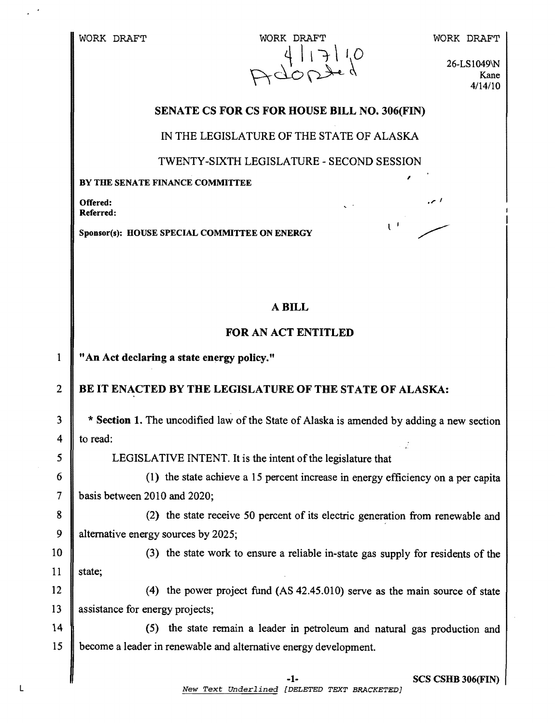WORK DRAFT WORK DRAFT WORK DRAFT<br>  $\begin{array}{c} \text{WORK } \text{DRAFT} \\ \downarrow \\ \text{P} \downarrow \rightarrow \\ \text{P} \downarrow \text{P} \end{array}$  WORK DRAFT

4/14110 26-LS1049\N Kane

### SENATE CS FOR CS FOR HOUSE BILL NO. 306{FIN)

IN THE LEGISLATURE OF THE STATE OF ALASKA

TWENTY-SIXTH LEGISLATURE - SECOND SESSION

#### BY THE SENATE FINANCE COMMITTEE

offered: *... ...* Joseph *... ... ... ... ... ... ... ... ...* Referred:

1

2

3

4

5

6

7

8

9

Sponsor(s): HOUSE SPECIAL COMMITTEE ON ENERGY

## A BILL

# FOR AN ACT ENTITLED

"An Act declaring a state energy policy."

# BE IT ENACTED BY THE LEGISLATURE OF THE STATE OF ALASKA:

\* Section 1. The uncodified law of the State of Alaska is amended by adding a new section to read:

LEGISLATIVE INTENT. It is the intent of the legislature that

(I) the state achieve a 15 percent increase in energy efficiency on a per capita basis between 2010 and 2020;

(2) the state receive 50 percent of its electric generation from renewable and alternative energy sources by 2025;

10 11 (3) the state work to ensure a reliable in-state gas supply for residents of the state;

12 13 (4) the power project fund (AS 42.45.010) serve as the main source of state assistance for energy projects;

14 15 (5) the state remain a leader in petroleum and natural gas production and become a leader in renewable and alternative energy development.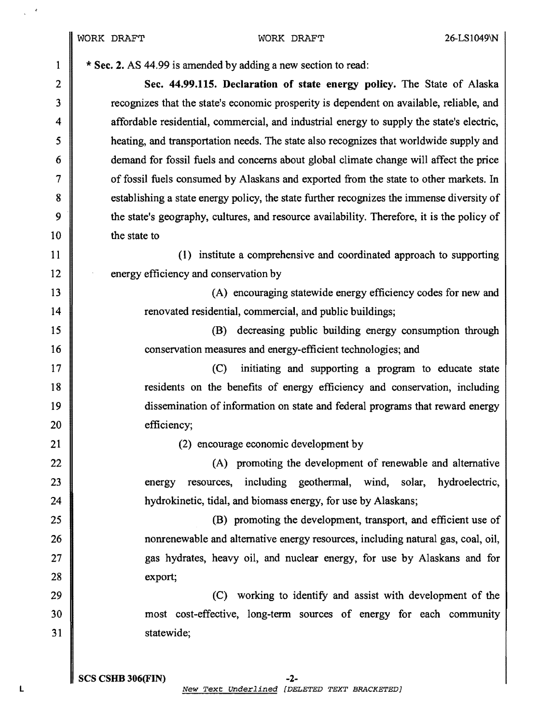5 10 15 20 25 30 1 2 3 4 6 7 8 9 11 12 13 14 16 17 18 19 21 22 23 24 26 27 28 29 31 \* Sec. 2. AS 44.99 is amended by adding a new section to read: Sec. 44.99.115. Declaration of state energy policy. The State of Alaska recognizes that the state's economic prosperity is dependent on available, reliable, and affordable residential, commercial, and industrial energy to supply the state's electric, heating, and transportation needs. The state also recognizes that worldwide supply and demand for fossil fuels and concerns about global climate change will affect the price of fossil fuels consumed by Alaskans and exported from the state to other markets. In establishing a state energy policy, the state further recognizes the immense diversity of the state's geography, cultures, and resource availability. Therefore, it is the policy of the state to (l) institute a comprehensive and coordinated approach to supporting energy efficiency and conservation by (A) encouraging statewide energy efficiency codes for new and renovated residential, commercial, and public buildings; (B) decreasing public building energy consumption through conservation measures and energy-efficient technologies; and (C) initiating and supporting a program to educate state residents on the benefits of energy efficiency and conservation, including dissemination of information on state and federal programs that reward energy efficiency; (2) encourage economic development by (A) promoting the development of renewable and alternative energy resources, including geothermal, wind, solar, hydroelectric, hydrokinetic, tidal, and biomass energy, for use by Alaskans; (B) promoting the development, transport, and efficient use of nonrenewable and alternative energy resources, including natural gas, coal, oil, gas hydrates, heavy oil, and nuclear energy, for use by Alaskans and for export; (C) working to identify and assist with development of the most cost-effective, long-term sources of energy for each community statewide;

New Text Underlined {DELETED TEXT BRACKETED}